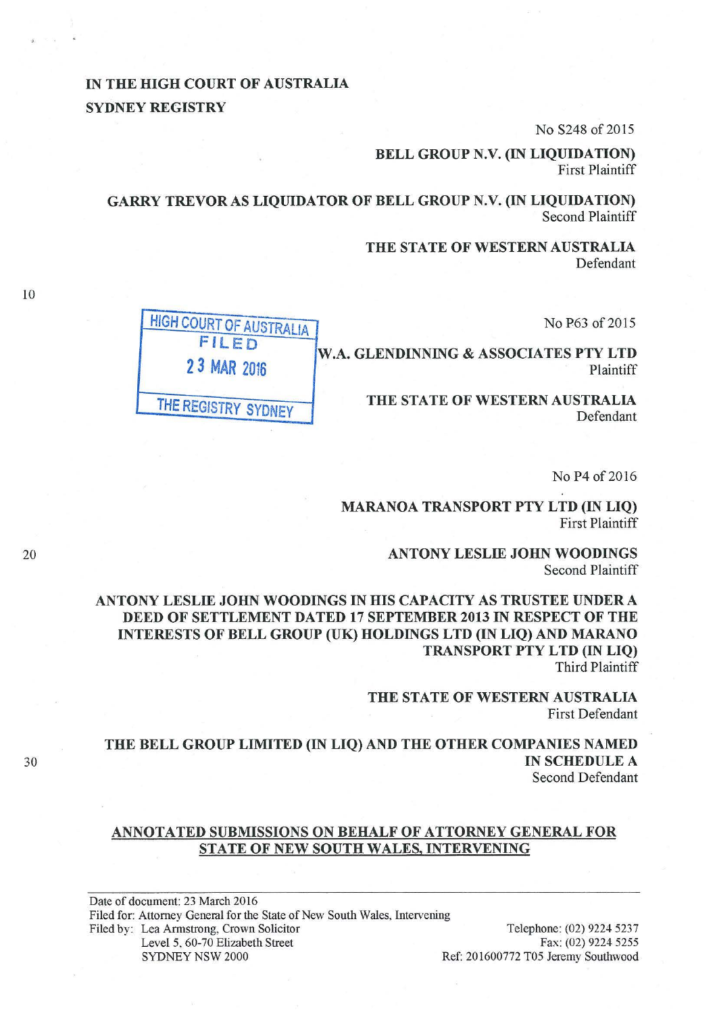# IN THE HIGH COURT OF AUSTRALIA SYDNEY REGISTRY

No S248 of 2015

BELL GROUP N.V. (IN LIQUIDATION) First Plaintiff

GARRY TREVOR AS LIQUIDATOR OF BELL GROUP N. V. (IN LIQUIDATION) Second Plaintiff

> THE STATE OF WESTERN AUSTRALIA Defendant

> > No P63 of 2015



No P4 of 2016

MARANOA TRANSPORT PTY LTD (IN LIQ) First Plaintiff

> ANTONY LESLIE JOHN WOODINGS Second Plaintiff

ANTONY LESLIE JOHN WOODINGS IN HIS CAPACITY AS TRUSTEE UNDER A DEED OF SETTLEMENT DATED 17 SEPTEMBER 2013 IN RESPECT OF THE INTERESTS OF BELL GROUP (UK) HOLDINGS LTD (IN LIQ) AND MARANO TRANSPORT PTY LTD (IN LIQ) Third Plaintiff

> THE STATE OF WESTERN AUSTRALIA First Defendant

THE BELL GROUP LIMITED (IN LIQ) AND THE OTHER COMPANIES NAMED 30 IN SCHEDULE A Second Defendant

#### ANNOTATED SUBMISSIONS ON BEHALF OF ATTORNEY GENERAL FOR STATE OF NEW SOUTH WALES, INTERVENING

Date of document: 23 March 2016 Filed for: Attorney General for the State of New South Wales, Intervening Filed by: Lea Armstrong, Crown Solicitor Telephone: (02) 9224 5237 Level 5, 60-70 Elizabeth Street SYDNEY NSW 2000

Fax: (02) 9224 5255 Ref: 201600772 T05 Jeremy Southwood

20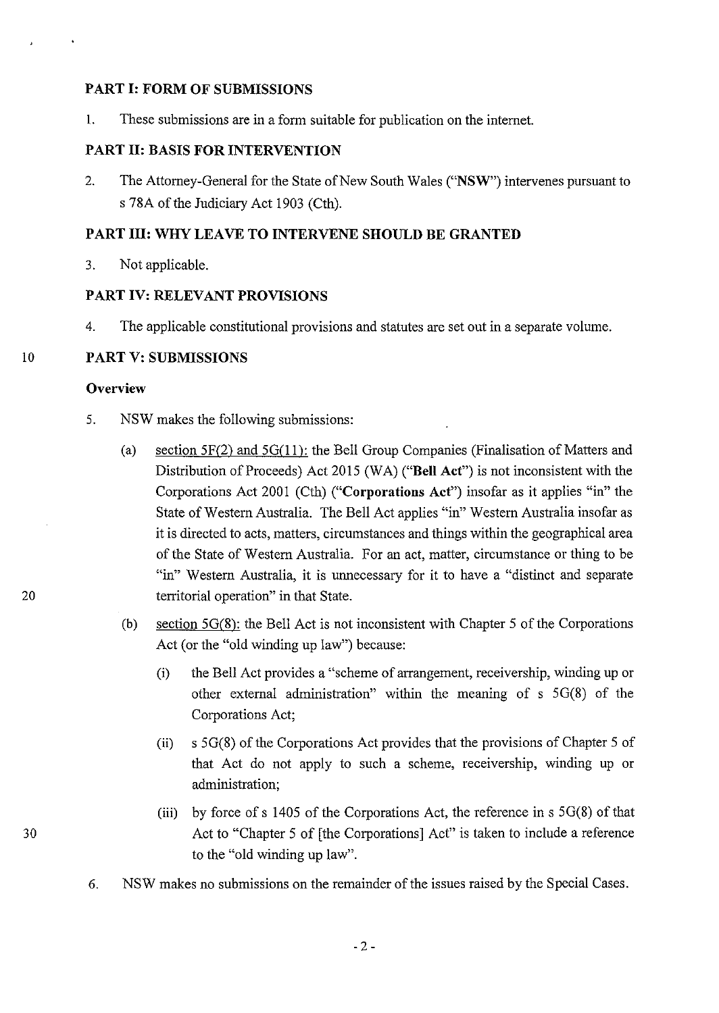### **PART 1: FORM OF SUBMISSIONS**

I. These submissions are in a form suitable for publication on the internet.

## **PART 11: BASIS FOR INTERVENTION**

2. The Attorney-General for the State of New South Wales **("NSW")** intervenes pursuant to s 78A of the Judiciary Act 1903 (Cth).

### **PART Ill: WHY LEAVE TO INTERVENE SHOULD BE GRANTED**

3. Not applicable.

#### **PART IV: RELEVANT PROVISIONS**

4. The applicable constitutional provisions and statutes are set out in a separate volume.

## 10 **PART V: SUBMISSIONS**

#### **Overview**

- 5. NSW makes the following submissions:
- (a) section  $5F(2)$  and  $5G(11)$ : the Bell Group Companies (Finalisation of Matters and Distribution of Proceeds) Act 2015 (WA) **("Bell Act")** is not inconsistent with the Corporations Act 2001 (Cth) **("Corporations Act")** insofar as it applies "in" the State of Western Australia. The Bell Act applies "in" Western Australia insofar as it is directed to acts, matters, circumstances and things within the geographical area of the State of Western Australia. For an act, matter, circumstance or thing to be "in" Western Australia, it is unnecessary for it to have a "distinct and separate 20 territorial operation" in that State.
	- (b) section 5G(8): the Bell Act is not inconsistent with Chapter 5 of the Corporations Act (or the "old winding up law") because:
		- (i) the Bell Act provides a "scheme of arrangement, receivership, winding up or other external administration" within the meaning of s 5G(8) of the Corporations Act;
		- (ii) s 5G(8) of the Corporations Act provides that the provisions of Chapter 5 of that Act do not apply to such a scheme, receivership, winding up or administration;
		- (iii) by force of s 1405 of the Corporations Act, the reference in s 5G(8) of that Act to "Chapter 5 of [the Corporations] Act" is taken to include a reference to the "old winding up law".
	- 6. NSW makes no submissions on the remainder of the issues raised by the Special Cases.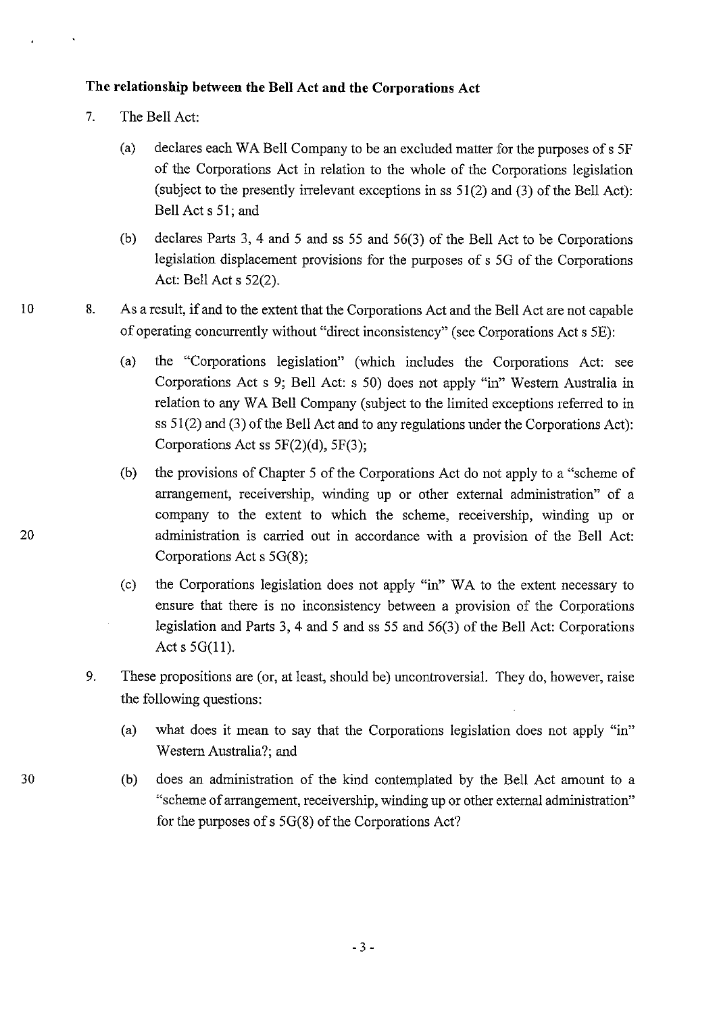## **The relationship between the Bell Act and the Corporations Act**

- 7. The Bell Act:
	- (a) declares each WA Bell Company to be an excluded matter for the purposes of s *SF*  of the Corporations Act in relation to the whole of the Corporations legislation (subject to the presently irrelevant exceptions in ss 51(2) and (3) of the Bell Act): Bell Acts 51; and
	- (b) declares Parts 3, 4 and 5 and ss 55 and  $56(3)$  of the Bell Act to be Corporations legislation displacement provisions for the purposes of s 50 of the Corporations Act: Bell Act s 52(2).
- 8. As a result, if and to the extent that the Corporations Act and the Bell Act are not capable of operating concurrently without "direct inconsistency" (see Corporations Act s 5E):
	- (a) the "Corporations legislation" (which includes the Corporations Act: see Corporations Act s 9; Bell Act: s 50) does not apply "in" Western Australia in relation to any WA Bell Company (subject to the limited exceptions referred to in ss 51(2) and (3) of the Bell Act and to any regulations under the Corporations Act): Corporations Act ss 5F(2)(d), 5F(3);
- (b) the provisions of Chapter 5 of the Corporations Act do not apply to a "scheme of arrangement, receivership, winding up or other external administration" of a company to the extent to which the scheme, receivership, winding up or 20 administration is carried out in accordance with a provision of the Bell Act: Corporations Act  $s$  5G(8);
	- (c) the Corporations legislation does not apply "in" W A to the extent necessary to ensure that there is no inconsistency between a provision of the Corporations legislation and Parts 3, 4 and 5 and ss 55 and 56(3) of the Bell Act: Corporations Act s  $5G(11)$ .
	- 9. These propositions are (or, at least, should be) uncontroversial. They do, however, raise the following questions:
		- (a) what does it mean to say that the Corporations legislation does not apply "in" Westem Australia?; and
		- (b) does an administration of the kind contemplated by the Bell Act amount to a "scheme of arrangement, receivership, winding up or other extemal administration" for the purposes of  $s$  5G(8) of the Corporations Act?

10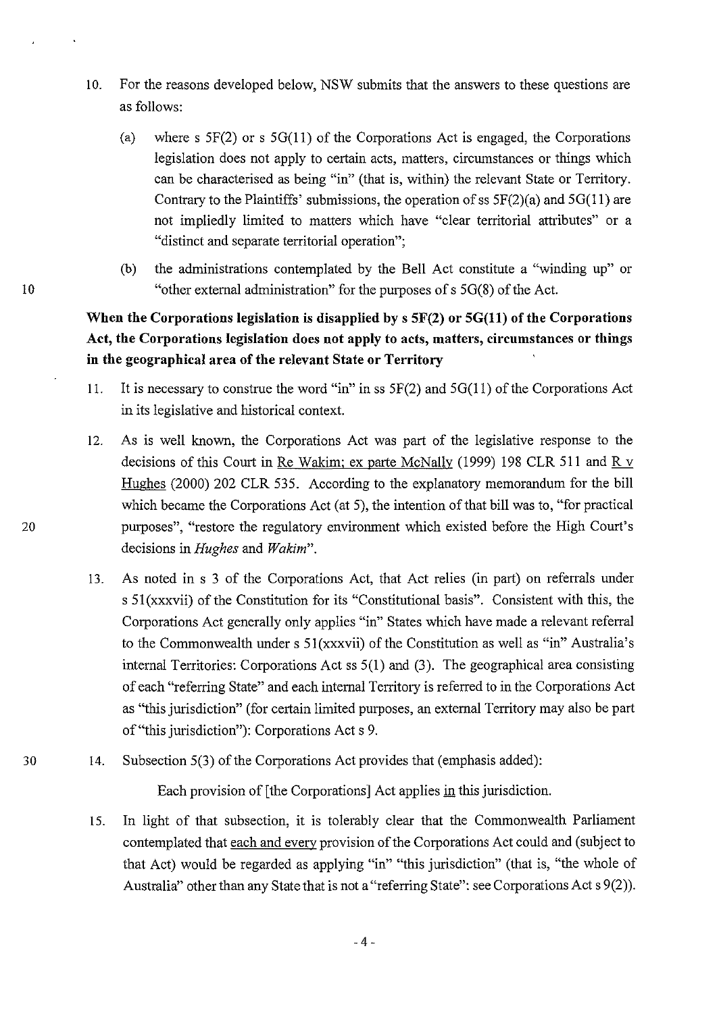- 10. For the reasons developed below, NSW submits that the answers to these questions are as follows:
	- (a) where s  $5F(2)$  or s  $5G(11)$  of the Corporations Act is engaged, the Corporations legislation does not apply to certain acts, matters, circumstances or things which can be characterised as being "in" (that is, within) the relevant State or Tenitory. Contrary to the Plaintiffs' submissions, the operation of ss  $5F(2)(a)$  and  $5G(11)$  are not impliedly limited to matters which have "clear territorial attributes" or a "distinct and separate territorial operation";
	- (b) the administrations contemplated by the Bell Act constitute a "winding up" or "other external administration" for the purposes of s 5G(8) of the Act.

## When the Corporations legislation is disapplied by s 5F(2) or 5G(11) of the Corporations Act, the Corporations legislation does not apply to acts, matters, circumstances or things **in the geographical area of the relevant State or Territory**

- 11. It is necessary to construe the word "in" in ss 5F(2) and 5G(ll) of the Corporations Act in its legislative and historical context.
- 12. As is well known, the Corporations Act was part of the legislative response to the decisions of this Court in Re Wakim; ex parte McNally (1999) 198 CLR 511 and  $R v$ Hughes (2000) 202 CLR 535. According to the explanatory memorandum for the bill which became the Corporations Act (at 5), the intention of that bill was to, "for practical purposes", "restore the regulatory environment which existed before the High Court's decisions in *Hughes* and *Wakim".*
- 13. As noted in s 3 of the Corporations Act, that Act relies (in part) on referrals under s 5l(xxxvii) of the Constitution for its "Constitutional basis". Consistent with this, the Corporations Act generally only applies "in" States which have made a relevant referral to the Commonwealth under s 5l(xxxvii) of the Constitution as well as "in" Australia's internal Territories: Corporations Act ss  $5(1)$  and  $(3)$ . The geographical area consisting of each "referring State" and each internal Territory is referred to in the Corporations Act as "this jurisdiction" (for certain limited purposes, an external Territory may also be part of"this jurisdiction"): Corporations Acts 9.
- 30 14. Subsection 5(3) of the Corporations Act provides that (emphasis added):

Each provision of [the Corporations] Act applies in this jurisdiction.

15. In light of that subsection, it is tolerably clear that the Commonwealth Parliament contemplated that each and every provision of the Corporations Act could and (subject to that Act) would be regarded as applying "in" "this jurisdiction" (that is, "the whole of Australia" other than any State that is not a "referring State": see Corporations Act  $s(2)$ ).

10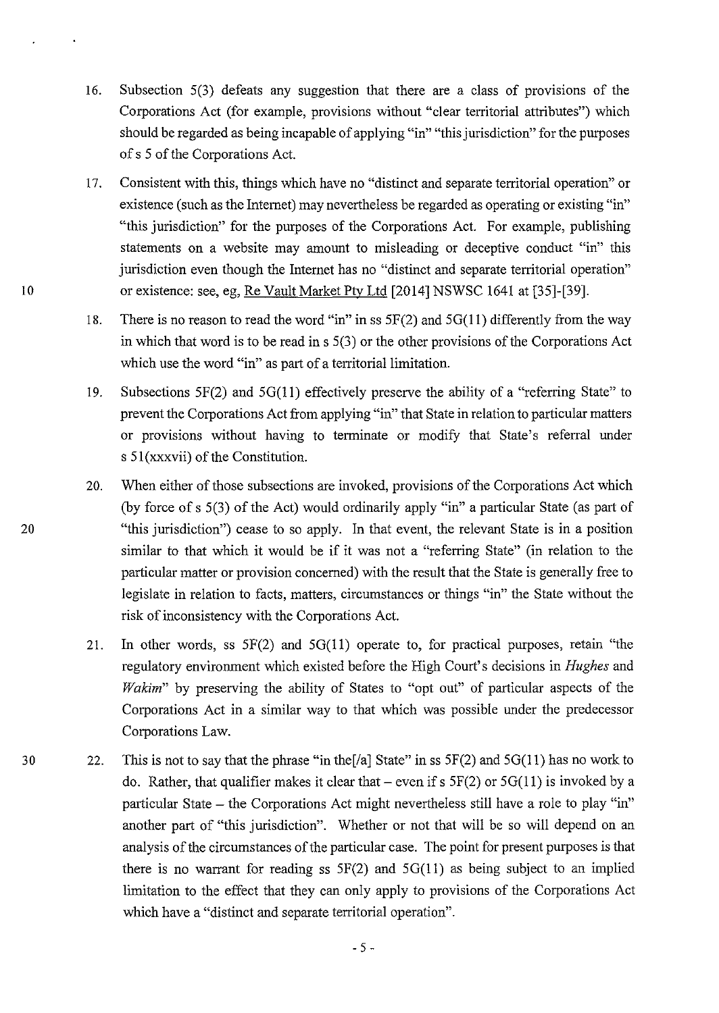- 16. Subsection 5(3) defeats any suggestion tbat there are a class of provisions of the Corporations Act (for example, provisions witbout "clear territorial attributes") which should be regarded as being incapable of applying "in" "this jurisdiction" for the purposes of s 5 of the Corporations Act.
- 17. Consistent witb tbis, things which have no "distinct and separate territorial operation" or existence (such as the Internet) may nevertheless be regarded as operating or existing "in" "this jurisdiction" for tbe purposes of the Corporations Act. For example, publishing statements on a website may amount to misleading or deceptive conduct "in" this jurisdiction even though the Internet has no "distinct and separate territorial operation" 10 or existence: see, eg, Re Vault Market Pty Ltd [2014] NSWSC 1641 at [35]-[39].
	- 18. There is no reason to read the word "in" in ss 5F(2) and 5G(11) differently from the way in which that word is to be read in  $s$  5(3) or the other provisions of the Corporations Act which use the word "in" as part of a territorial limitation.
	- 19. Subsections 5F(2) and SG(ll) effectively preserve the ability of a "referring State" to prevent tbe Corporations Act from applying "in" that State in relation to particular matters or provisions without having to terminate or modify that State's referral under s 51(xxxvii) of the Constitution.
- 20. When either of those subsections are invoked, provisions of the Corporations Act which (by force of s 5(3) of the Act) would ordinarily apply "in" a particular State (as part of 20 "this jurisdiction") cease to so apply. In that event, the relevant State is in a position similar to that which it would be if it was not a "referring State" (in relation to the particular matter or provision concerned) with the result that the State is generally free to legislate in relation to facts, matters, circumstances or things "in" the State without the risk of inconsistency with the Corporations Act.
	- 21. In other words, ss  $5F(2)$  and  $5G(11)$  operate to, for practical purposes, retain "the regulatory environment which existed before the High Court's decisions in *Hughes* and *Wakim*" by preserving the ability of States to "opt out" of particular aspects of the Corporations Act in a similar way to that which was possible under the predecessor Corporations Law.
- 30 22. This is not to say that the phrase "in the[/a] State" in ss 5F(2) and 5G(l1) has no work to do. Rather, that qualifier makes it clear that – even if s  $5F(2)$  or  $5G(11)$  is invoked by a particular State – the Corporations Act might nevertheless still have a role to play "in" anotber part of "tbis jurisdiction". Whether or not that will be so will depend on an analysis of the circumstances of the particular case. The point for present purposes is that there is no warrant for reading ss  $5F(2)$  and  $5G(11)$  as being subject to an implied limitation to the effect that they can only apply to provisions of the Corporations Act which have a "distinct and separate territorial operation".

 $\mathbf{r}$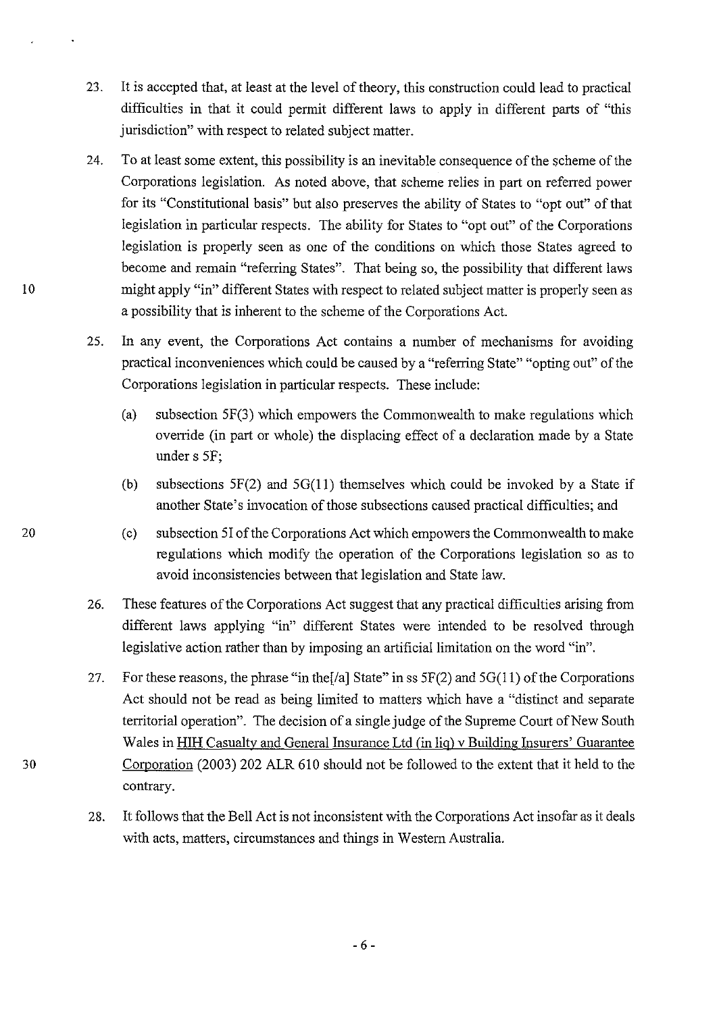- 23. It is accepted that, at least at the level of theory, this construction could lead to practical difficulties in that it could permit different laws to apply in different parts of "this jurisdiction" with respect to related subject matter.
- 24. To at least some extent, this possibility is an inevitable consequence of the scheme of the Corporations legislation. As noted above, that scheme relies in part on referred power for its "Constitutional basis" but also preserves the ability of States to "opt out" of that legislation in particular respects. The ability for States to "opt out" of the Corporations legislation is properly seen as one of the conditions on which those States agreed to become and remain "referring States". That being so, the possibility that different laws might apply "in" different States with respect to related subject matter is properly seen as a possibility that is inherent to the scheme of the Corporations Act.
- 25. In any event, the Corporations Act contains a number of mechanisms for avoiding practical inconveniences which could be caused by a "referring State" "opting out" of the Corporations legislation in particular respects. These include:
	- (a) subsection 5F(3) which empowers the Commonwealth to make regulations which override (in part or whole) the displacing effect of a declaration made by a State under s SF;
	- (b) subsections  $5F(2)$  and  $5G(11)$  themselves which could be invoked by a State if another State's invocation of those subsections caused practical difficulties; and
	- (c) subsection 51 of the Corporations Act which empowers the Commonwealth to make regulations which modifY the operation of the Corporations legislation so as to avoid inconsistencies between that legislation and State law.
- 26. These features of the Corporations Act suggest that any practical difficulties arising from different laws applying "in" different States were intended to be resolved through legislative action rather than by imposing an artificial limitation on the word "in".
- 27. For these reasons, the phrase "in the [ $/a$ ] State" in ss  $5F(2)$  and  $5G(11)$  of the Corporations Act should not be read as being limited to matters which have a "distinct and separate territorial operation". The decision of a single judge of the Supreme Court of New South Wales in HIH Casualty and General Insurance Ltd (in lig) v Building Insurers' Guarantee Corporation (2003) 202 ALR 610 should not be followed to the extent that it held to the contrary.
- 28. It follows that the Bell Act is not inconsistent with the Corporations Act insofar as it deals with acts, matters, circumstances and things in Western Australia.

20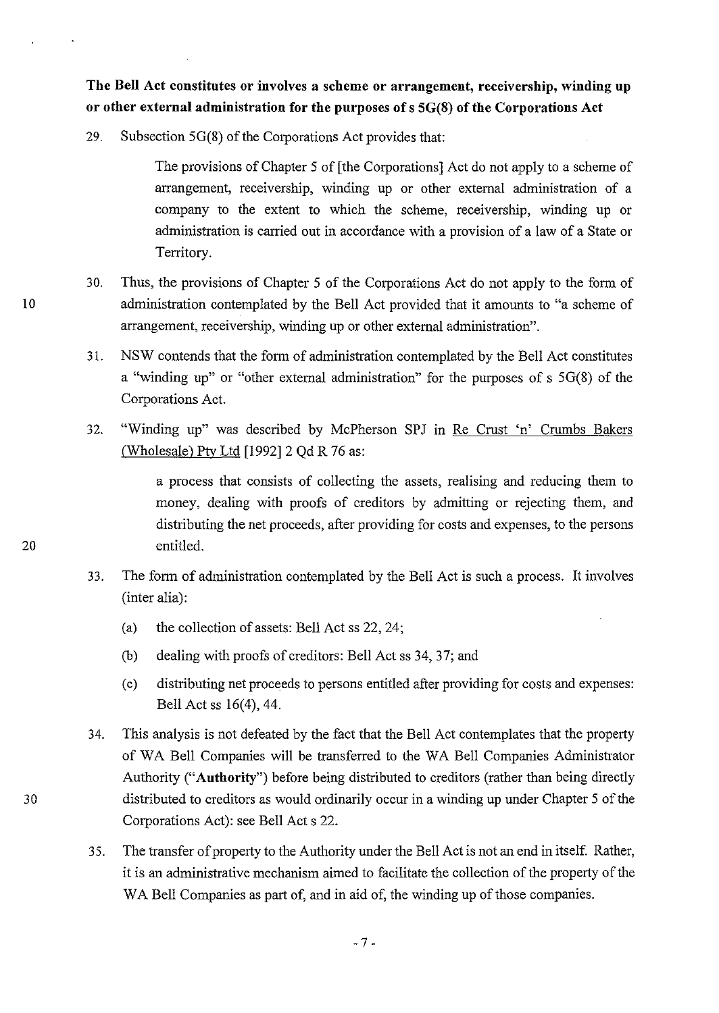## The Bell Act constitutes or involves a scheme or arrangement, receivership, winding up or other external administration for the purposes of s 5G(8) of the Corporations Act

29. Subsection 5G(8) of the Corporations Act provides that:

The provisions of Chapter 5 of [the Corporations] Act do not apply to a scheme of arrangement, receivership, winding up or other external administration of a company to the extent to which the scheme, receivership, winding up or administration is carried out in accordance with a provision of a law of a State or Territory.

- 30. Thus, the provisions of Chapter 5 of the Corporations Act do not apply to the form of 10 administration contemplated by the Bell Act provided that it amounts to "a scheme of arrangement, receivership, winding up or other external administration".
	- 31. NSW contends that the form of administration contemplated by the Bell Act constitutes a "winding up" or "other external administration" for the purposes of s 5G(8) of the Corporations Act.
	- 32. "Winding up" was described by McPherson SPJ m Re Crust 'n' Crumbs Bakers (Wholesale) Pty Ltd  $[1992]$  2 Qd R 76 as:

a process that consists of collecting the assets, realising and reducing them to money, dealing with proofs of creditors by admitting or rejecting them, and distributing the net proceeds, after providing for costs and expenses, to the persons entitled.

- 33. The form of administration contemplated by the Bell Act is such a process. It involves (inter alia):
	- (a) the collection of assets: Bell Act ss 22, 24;
	- (b) dealing with proofs of creditors: Bell Act ss 34, 37; and
	- (c) distributing net proceeds to persons entitled after providing for costs and expenses: Bell Act ss 16(4), 44.
- 34. This analysis is not defeated by the fact that the Bell Act contemplates that the property of WA Bell Companies will be transferred to the WA Bell Companies Administrator Authority **("Authority")** before being distributed to creditors (rather than being directly 30 distributed to creditors as would ordinarily occur in a winding up under Chapter 5 of the Corporations Act): see Bell Act s 22.
	- 35. The transfer of property to the Authority under the Bell Act is not an end in itself. Rather, it is an administrative mechanism aimed to facilitate the collection of the property of the WA Bell Companies as part of, and in aid of, the winding up of those companies.

20

-7-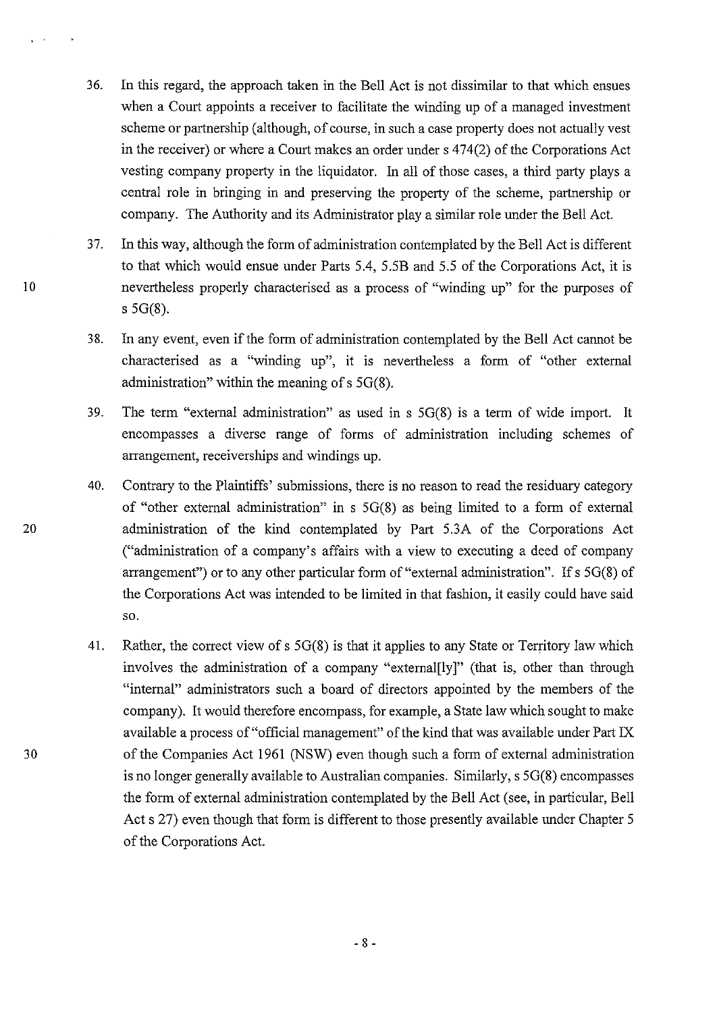- 36. In this regard, the approach taken in the Bell Act is not dissimilar to that which ensues when a Court appoints a receiver to facilitate the winding up of a managed investment scheme or partnership (although, of course, in such a case property does not actually vest in the receiver) or where a Court makes an order under s 474(2) of the Corporations Act vesting company property in the liquidator. In all of those cases, a third party plays a central role in bringing in and preserving the property of the scheme, partnership or company. The Authority and its Administrator play a similar role under the Bell Act.
- 37. In this way, although the form of administration contemplated by the Bell Act is different to that which would ensue under Parts 5.4, 5.5B and 5.5 of the Corporations Act, it is nevertheless properly characterised as a process of "winding up" for the purposes of s 5G(8).
- 38. In any event, even if the form of administration contemplated by the Bell Act cannot be characterised as a "winding up", it is nevertheless a form of "other external administration" within the meaning of s 5G(8).
- 39. The term "external administration" as used in s 5G(8) is a term of wide import. It encompasses a diverse range of forms of administration including schemes of arrangement, receiverships and windings up.
- 40. Contrary to the Plaintiffs' submissions, there is no reason to read the residuary category of "other external administration" in s 5G(8) as being limited to a form of external 20 administration of the kind contemplated by Part 5.3A of the Corporations Act ("administration of a company's affairs with a view to executing a deed of company arrangement") or to any other particular form of "external administration". If  $s$  5G(8) of the Corporations Act was intended to be limited in that fashion, it easily could have said so.
	- 41. Rather, the correct view of s 5G(8) is that it applies to any State or Territory law which involves the administration of a company "extemal[ly]" (that is, other than through "internal" administrators such a board of directors appointed by the members of the company). It would therefore encompass, for example, a State law which sought to make available a process of"official management" of the kind that was available under Part IX of the Companies Act 1961 (NSW) even though such a form of external administration is no longer generally available to Australian companies. Similarly, s 5G(8) encompasses the form of external administration contemplated by the Bell Act (see, in particular, Bell Act s 27) even though that form is different to those presently available under Chapter 5 of the Corporations Act.

10